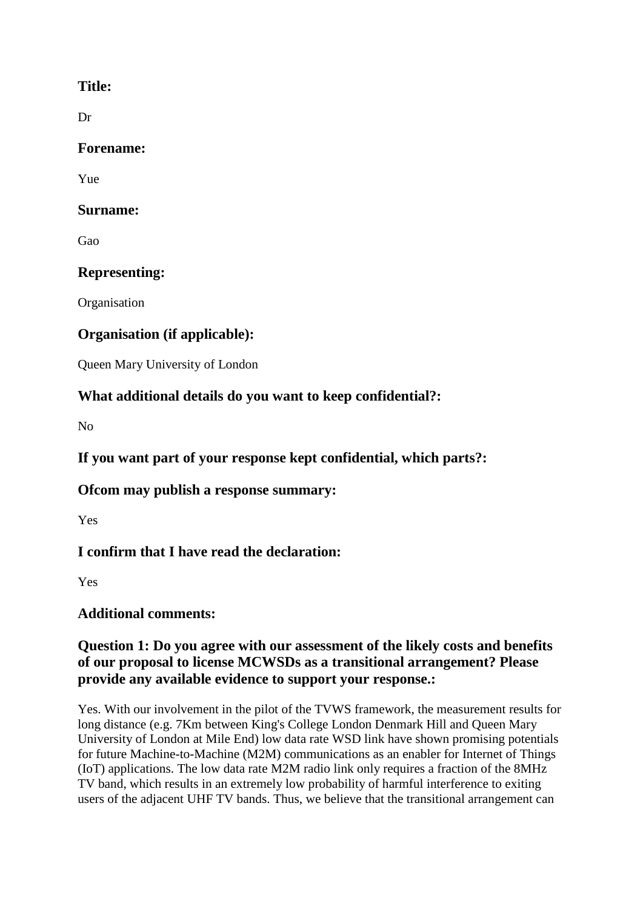## **Title:**

Dr

### **Forename:**

Yue

### **Surname:**

Gao

# **Representing:**

**Organisation** 

# **Organisation (if applicable):**

Queen Mary University of London

# **What additional details do you want to keep confidential?:**

No

**If you want part of your response kept confidential, which parts?:**

## **Ofcom may publish a response summary:**

Yes

# **I confirm that I have read the declaration:**

Yes

# **Additional comments:**

### **Question 1: Do you agree with our assessment of the likely costs and benefits of our proposal to license MCWSDs as a transitional arrangement? Please provide any available evidence to support your response.:**

Yes. With our involvement in the pilot of the TVWS framework, the measurement results for long distance (e.g. 7Km between King's College London Denmark Hill and Queen Mary University of London at Mile End) low data rate WSD link have shown promising potentials for future Machine-to-Machine (M2M) communications as an enabler for Internet of Things (IoT) applications. The low data rate M2M radio link only requires a fraction of the 8MHz TV band, which results in an extremely low probability of harmful interference to exiting users of the adjacent UHF TV bands. Thus, we believe that the transitional arrangement can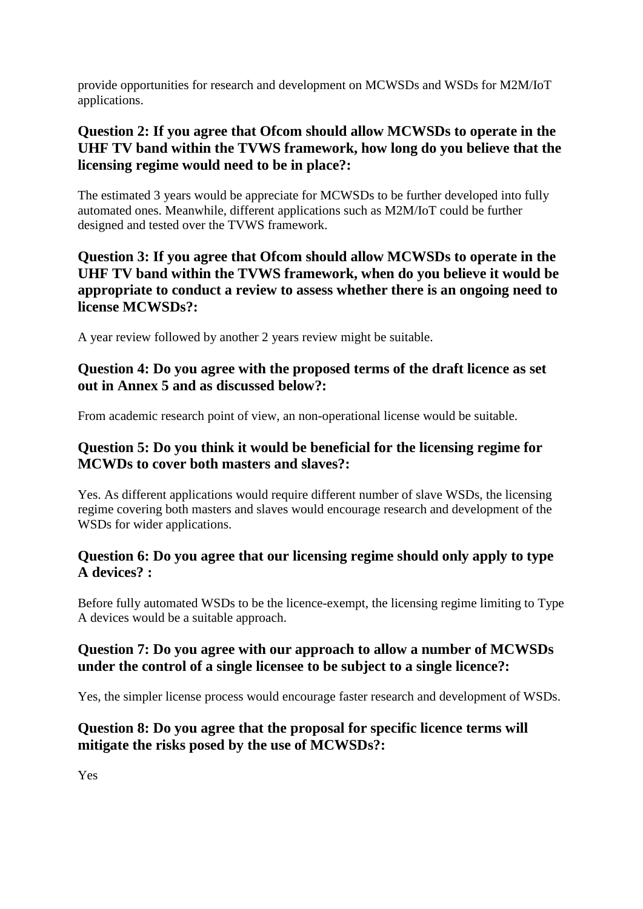provide opportunities for research and development on MCWSDs and WSDs for M2M/IoT applications.

## **Question 2: If you agree that Ofcom should allow MCWSDs to operate in the UHF TV band within the TVWS framework, how long do you believe that the licensing regime would need to be in place?:**

The estimated 3 years would be appreciate for MCWSDs to be further developed into fully automated ones. Meanwhile, different applications such as M2M/IoT could be further designed and tested over the TVWS framework.

### **Question 3: If you agree that Ofcom should allow MCWSDs to operate in the UHF TV band within the TVWS framework, when do you believe it would be appropriate to conduct a review to assess whether there is an ongoing need to license MCWSDs?:**

A year review followed by another 2 years review might be suitable.

### **Question 4: Do you agree with the proposed terms of the draft licence as set out in Annex 5 and as discussed below?:**

From academic research point of view, an non-operational license would be suitable.

## **Question 5: Do you think it would be beneficial for the licensing regime for MCWDs to cover both masters and slaves?:**

Yes. As different applications would require different number of slave WSDs, the licensing regime covering both masters and slaves would encourage research and development of the WSDs for wider applications.

### **Question 6: Do you agree that our licensing regime should only apply to type A devices? :**

Before fully automated WSDs to be the licence-exempt, the licensing regime limiting to Type A devices would be a suitable approach.

## **Question 7: Do you agree with our approach to allow a number of MCWSDs under the control of a single licensee to be subject to a single licence?:**

Yes, the simpler license process would encourage faster research and development of WSDs.

# **Question 8: Do you agree that the proposal for specific licence terms will mitigate the risks posed by the use of MCWSDs?:**

Yes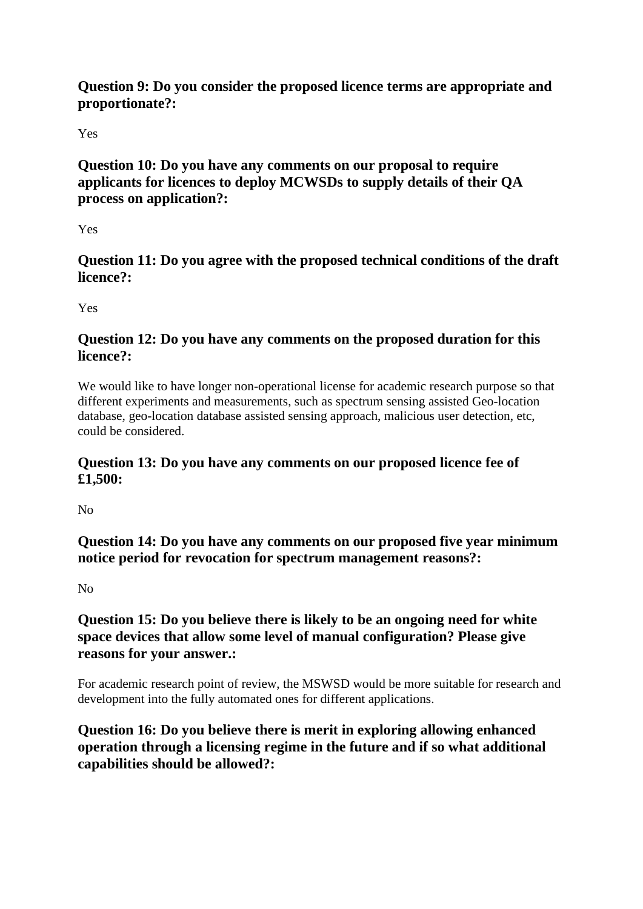### **Question 9: Do you consider the proposed licence terms are appropriate and proportionate?:**

Yes

# **Question 10: Do you have any comments on our proposal to require applicants for licences to deploy MCWSDs to supply details of their QA process on application?:**

Yes

# **Question 11: Do you agree with the proposed technical conditions of the draft licence?:**

Yes

# **Question 12: Do you have any comments on the proposed duration for this licence?:**

We would like to have longer non-operational license for academic research purpose so that different experiments and measurements, such as spectrum sensing assisted Geo-location database, geo-location database assisted sensing approach, malicious user detection, etc, could be considered.

## **Question 13: Do you have any comments on our proposed licence fee of £1,500:**

No

**Question 14: Do you have any comments on our proposed five year minimum notice period for revocation for spectrum management reasons?:**

 $N<sub>0</sub>$ 

# **Question 15: Do you believe there is likely to be an ongoing need for white space devices that allow some level of manual configuration? Please give reasons for your answer.:**

For academic research point of review, the MSWSD would be more suitable for research and development into the fully automated ones for different applications.

# **Question 16: Do you believe there is merit in exploring allowing enhanced operation through a licensing regime in the future and if so what additional capabilities should be allowed?:**